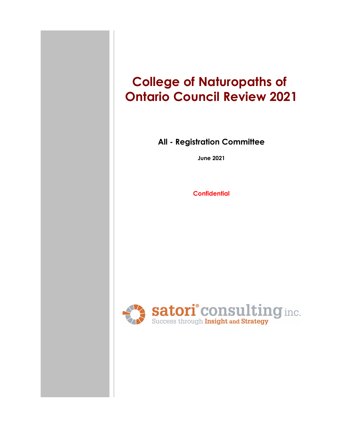# **College of Naturopaths of Ontario Council Review 2021**

#### **All - Registration Committee**

**June 2021**

**Confidential**

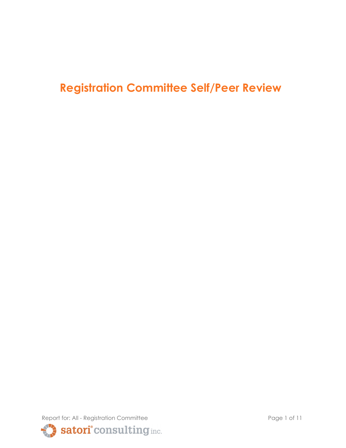## **Registration Committee Self/Peer Review**

Report for: All - Registration Committee Page 1 of 11 Satori° consulting inc.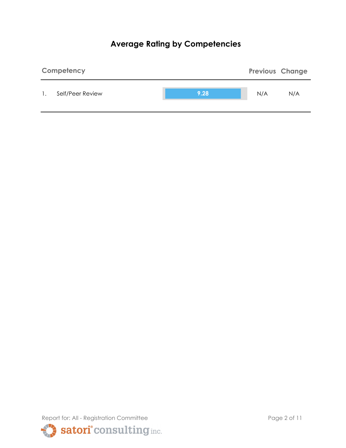## **Average Rating by Competencies**



Report for: All - Registration Committee Page 2 of 11 satori<sup>°</sup>consulting inc.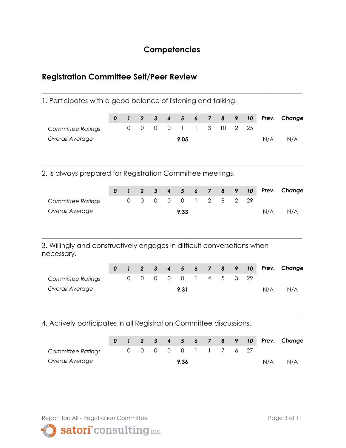#### **Competencies**

**\_\_\_\_\_\_\_\_\_\_\_\_\_\_\_\_\_\_\_\_\_\_\_\_\_\_\_\_\_\_\_\_\_\_\_\_\_\_\_\_\_\_\_\_\_\_\_\_\_\_\_\_\_\_\_\_\_\_\_\_\_\_\_\_\_\_\_\_\_**

### **Registration Committee Self/Peer Review**

1. Participates with a good balance of listening and talking.

| $\pmb{0}$<br>0   | $\mathbf{I}$<br>$\mathbf 0$    | $\overline{2}$<br>$\mathbf 0$         | $\mathbf{3}$<br>$\mathbf 0$ | $\boldsymbol{4}$<br>$\mathbf 0$ | $5\phantom{1}$<br>1<br>9.05              | $\boldsymbol{6}$<br>1            | $\overline{\mathbf{z}}$<br>3              | 8<br>10                                                    | 9<br>$\overline{2}$ | 10<br>25 | Prev.<br>N/A | Change<br>N/A                                                           |
|------------------|--------------------------------|---------------------------------------|-----------------------------|---------------------------------|------------------------------------------|----------------------------------|-------------------------------------------|------------------------------------------------------------|---------------------|----------|--------------|-------------------------------------------------------------------------|
|                  |                                |                                       |                             |                                 |                                          |                                  |                                           |                                                            |                     |          |              |                                                                         |
|                  |                                |                                       |                             |                                 |                                          |                                  |                                           |                                                            |                     |          |              |                                                                         |
|                  |                                |                                       |                             |                                 |                                          |                                  |                                           |                                                            |                     |          |              |                                                                         |
|                  |                                |                                       |                             |                                 |                                          |                                  |                                           |                                                            |                     |          |              |                                                                         |
|                  |                                |                                       |                             |                                 |                                          |                                  |                                           | 2. Is always prepared for Registration Committee meetings. |                     |          |              |                                                                         |
|                  | $\mathbf{I}$                   | $\overline{2}$                        | $\mathbf{3}$                | 4                               | $5\phantom{1}$                           | 6                                | $\overline{\mathbf{z}}$                   | 8                                                          | 9                   | 10       | Prev.        | Change                                                                  |
|                  | $\overline{0}$                 | $\mathsf{O}\xspace$                   | $\mathsf{O}\xspace$         | $\mathbf 0$                     | $\mathbf 0$                              | 1                                | $\overline{2}$                            | 8                                                          | $\overline{2}$      | 29       |              |                                                                         |
|                  |                                |                                       |                             |                                 | 9.33                                     |                                  |                                           |                                                            |                     |          | N/A          | N/A                                                                     |
| $\boldsymbol{0}$ | $\mathbf{I}$<br>$\overline{0}$ | $\overline{2}$<br>$\mathsf{O}\xspace$ | $\mathbf{3}$<br>$\mathbf 0$ | $\boldsymbol{4}$<br>$\mathbf 0$ | $5\phantom{1}$<br>$\overline{0}$<br>9.31 | $\boldsymbol{6}$<br>$\mathbf{1}$ | $\overline{\mathbf{z}}$<br>$\overline{4}$ | 8<br>5                                                     | 9<br>3              | 10<br>29 | Prev.<br>N/A | Change<br>N/A                                                           |
|                  |                                |                                       |                             |                                 |                                          |                                  |                                           |                                                            |                     |          |              | 3. Willingly and constructively engages in difficult conversations when |

4. Actively participates in all Registration Committee discussions.

|                   |  |  |                      |  |  |     | 0 1 2 3 4 5 6 7 8 9 10 Prev. Change |
|-------------------|--|--|----------------------|--|--|-----|-------------------------------------|
| Committee Ratings |  |  | 0 0 0 0 0 1 1 7 6 27 |  |  |     |                                     |
| Overall Average   |  |  | 9.36                 |  |  | N/A | N/A                                 |

Report for: All - Registration Committee Page 3 of 11

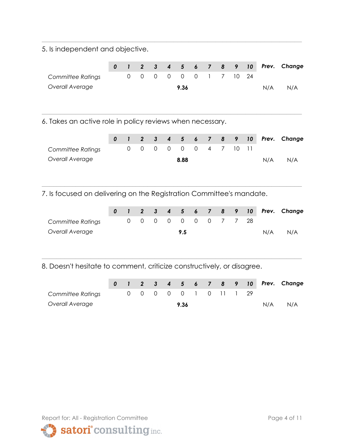5. Is independent and objective.

|                   |  |  |      |  |                       |     | 0 1 2 3 4 5 6 7 8 9 10 Prev. Change |
|-------------------|--|--|------|--|-----------------------|-----|-------------------------------------|
| Committee Ratings |  |  |      |  | 0 0 0 0 0 0 1 7 10 24 |     |                                     |
| Overall Average   |  |  | 9.36 |  |                       | N/A | N/A                                 |

**\_\_\_\_\_\_\_\_\_\_\_\_\_\_\_\_\_\_\_\_\_\_\_\_\_\_\_\_\_\_\_\_\_\_\_\_\_\_\_\_\_\_\_\_\_\_\_\_\_\_\_\_\_\_\_\_\_\_\_\_\_\_\_\_\_\_\_\_\_**

**\_\_\_\_\_\_\_\_\_\_\_\_\_\_\_\_\_\_\_\_\_\_\_\_\_\_\_\_\_\_\_\_\_\_\_\_\_\_\_\_\_\_\_\_\_\_\_\_\_\_\_\_\_\_\_\_\_\_\_\_\_\_\_\_\_\_\_\_\_**

6. Takes an active role in policy reviews when necessary.

|                   |  |  |                       |  |  |     | 0 1 2 3 4 5 6 7 8 9 10 Prev. Change |
|-------------------|--|--|-----------------------|--|--|-----|-------------------------------------|
| Committee Ratings |  |  | 0 0 0 0 0 0 4 7 10 11 |  |  |     |                                     |
| Overall Average   |  |  | 8.88                  |  |  | N/A | N/A                                 |

**\_\_\_\_\_\_\_\_\_\_\_\_\_\_\_\_\_\_\_\_\_\_\_\_\_\_\_\_\_\_\_\_\_\_\_\_\_\_\_\_\_\_\_\_\_\_\_\_\_\_\_\_\_\_\_\_\_\_\_\_\_\_\_\_\_\_\_\_\_**

7. Is focused on delivering on the Registration Committee's mandate.

|                   |  |  |                      |  |  |     | 0 1 2 3 4 5 6 7 8 9 10 Prev. Change |
|-------------------|--|--|----------------------|--|--|-----|-------------------------------------|
| Committee Ratings |  |  | 0 0 0 0 0 0 0 7 7 28 |  |  |     |                                     |
| Overall Average   |  |  | 9.5                  |  |  | N/A | N/A                                 |

8. Doesn't hesitate to comment, criticize constructively, or disagree.

|                   |  |  |      |  |                       |  |     | 0 1 2 3 4 5 6 7 8 9 10 Prev. Change |
|-------------------|--|--|------|--|-----------------------|--|-----|-------------------------------------|
| Committee Ratings |  |  |      |  | 0 0 0 0 0 1 0 11 1 29 |  |     |                                     |
| Overall Average   |  |  | 9.36 |  |                       |  | N/A | N/A                                 |

**\_\_\_\_\_\_\_\_\_\_\_\_\_\_\_\_\_\_\_\_\_\_\_\_\_\_\_\_\_\_\_\_\_\_\_\_\_\_\_\_\_\_\_\_\_\_\_\_\_\_\_\_\_\_\_\_\_\_\_\_\_\_\_\_\_\_\_\_\_**

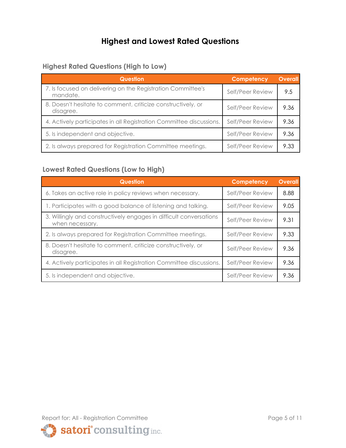## **Highest and Lowest Rated Questions**

#### **Highest Rated Questions (High to Low)**

| <b>Question</b>                                                           | <b>Competency</b> | <b>Overall</b> |
|---------------------------------------------------------------------------|-------------------|----------------|
| 7. Is focused on delivering on the Registration Committee's<br>mandate.   | Self/Peer Review  | 9.5            |
| 8. Doesn't hesitate to comment, criticize constructively, or<br>disagree. | Self/Peer Review  | 9.36           |
| 4. Actively participates in all Registration Committee discussions.       | Self/Peer Review  | 9.36           |
| 5. Is independent and objective.                                          | Self/Peer Review  | 9.36           |
| 2. Is always prepared for Registration Committee meetings.                | Self/Peer Review  | 9.33           |

#### **Lowest Rated Questions (Low to High)**

| <b>Question</b>                                                                       | <b>Competency</b> | <b>Overall</b> |
|---------------------------------------------------------------------------------------|-------------------|----------------|
| 6. Takes an active role in policy reviews when necessary.                             | Self/Peer Review  | 8.88           |
| 1. Participates with a good balance of listening and talking.                         | Self/Peer Review  | 9.05           |
| 3. Willingly and constructively engages in difficult conversations<br>when necessary. | Self/Peer Review  | 9.31           |
| 2. Is always prepared for Registration Committee meetings.                            | Self/Peer Review  | 9.33           |
| 8. Doesn't hesitate to comment, criticize constructively, or<br>disagree.             | Self/Peer Review  | 9.36           |
| 4. Actively participates in all Registration Committee discussions.                   | Self/Peer Review  | 9.36           |
| 5. Is independent and objective.                                                      | Self/Peer Review  | 9.36           |

Report for: All - Registration Committee Page 5 of 11

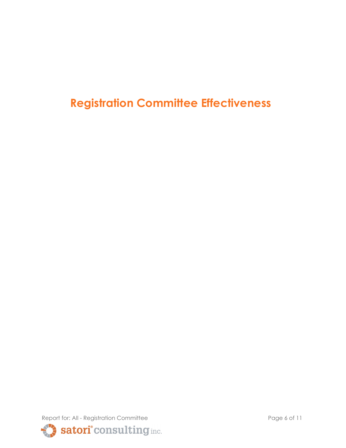**Registration Committee Effectiveness**

Report for: All - Registration Committee Page 6 of 11 Satori<sup>°</sup> consulting inc.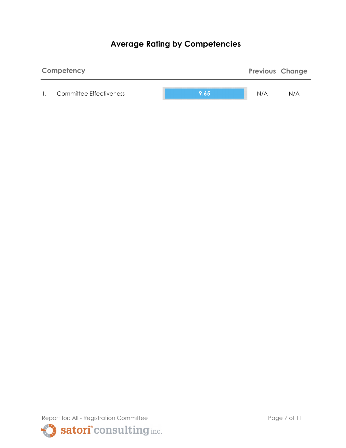## **Average Rating by Competencies**



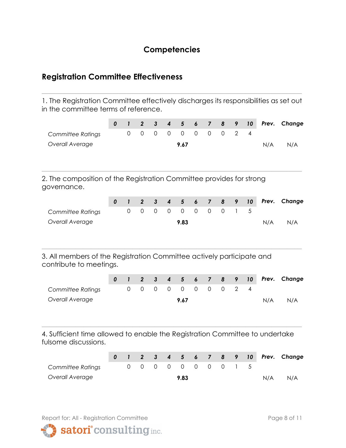#### **Competencies**

#### **Registration Committee Effectiveness**

1. The Registration Committee effectively discharges its responsibilities as set out in the committee terms of reference.

**\_\_\_\_\_\_\_\_\_\_\_\_\_\_\_\_\_\_\_\_\_\_\_\_\_\_\_\_\_\_\_\_\_\_\_\_\_\_\_\_\_\_\_\_\_\_\_\_\_\_\_\_\_\_\_\_\_\_\_\_\_\_\_\_\_\_\_\_\_**

|                          |  |  |                     |  |  |     | 0 1 2 3 4 5 6 7 8 9 10 Prev. Change |
|--------------------------|--|--|---------------------|--|--|-----|-------------------------------------|
| <b>Committee Ratings</b> |  |  | 0 0 0 0 0 0 0 0 2 4 |  |  |     |                                     |
| Overall Average          |  |  | 9.67                |  |  | N/A | N/A                                 |
|                          |  |  |                     |  |  |     |                                     |

**\_\_\_\_\_\_\_\_\_\_\_\_\_\_\_\_\_\_\_\_\_\_\_\_\_\_\_\_\_\_\_\_\_\_\_\_\_\_\_\_\_\_\_\_\_\_\_\_\_\_\_\_\_\_\_\_\_\_\_\_\_\_\_\_\_\_\_\_\_**

2. The composition of the Registration Committee provides for strong governance.

|                   |  |  |      |  |                     |  |     | 0 1 2 3 4 5 6 7 8 9 10 Prev. Change |
|-------------------|--|--|------|--|---------------------|--|-----|-------------------------------------|
| Committee Ratings |  |  |      |  | 0 0 0 0 0 0 0 0 1 5 |  |     |                                     |
| Overall Average   |  |  | 9.83 |  |                     |  | N/A | N/A                                 |

**\_\_\_\_\_\_\_\_\_\_\_\_\_\_\_\_\_\_\_\_\_\_\_\_\_\_\_\_\_\_\_\_\_\_\_\_\_\_\_\_\_\_\_\_\_\_\_\_\_\_\_\_\_\_\_\_\_\_\_\_\_\_\_\_\_\_\_\_\_**

3. All members of the Registration Committee actively participate and contribute to meetings.

|                   |  |  |      |  |                     |  |     | 0 1 2 3 4 5 6 7 8 9 10 Prev. Change |
|-------------------|--|--|------|--|---------------------|--|-----|-------------------------------------|
| Committee Ratings |  |  |      |  | 0 0 0 0 0 0 0 0 2 4 |  |     |                                     |
| Overall Average   |  |  | 9.67 |  |                     |  | N/A | N/A                                 |

4. Sufficient time allowed to enable the Registration Committee to undertake fulsome discussions.

**\_\_\_\_\_\_\_\_\_\_\_\_\_\_\_\_\_\_\_\_\_\_\_\_\_\_\_\_\_\_\_\_\_\_\_\_\_\_\_\_\_\_\_\_\_\_\_\_\_\_\_\_\_\_\_\_\_\_\_\_\_\_\_\_\_\_\_\_\_**

|                   |  |  |      |  |                     |  |     | 0 1 2 3 4 5 6 7 8 9 10 Prev. Change |
|-------------------|--|--|------|--|---------------------|--|-----|-------------------------------------|
| Committee Ratings |  |  |      |  | 0 0 0 0 0 0 0 0 1 5 |  |     |                                     |
| Overall Average   |  |  | 9.83 |  |                     |  | N/A | N/A                                 |



satori<sup>°</sup> consulting inc.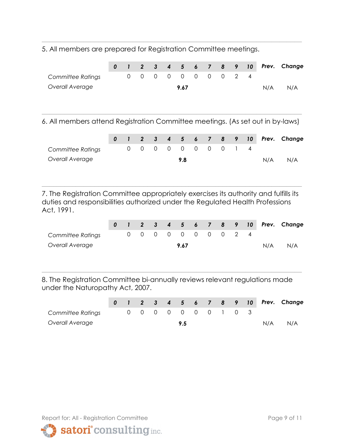5. All members are prepared for Registration Committee meetings.

|  |  | 9.67 |  |  | N/A                 | N/A                                 |
|--|--|------|--|--|---------------------|-------------------------------------|
|  |  |      |  |  |                     |                                     |
|  |  |      |  |  | 0 0 0 0 0 0 0 0 2 4 | 0 1 2 3 4 5 6 7 8 9 10 Prev. Change |

**\_\_\_\_\_\_\_\_\_\_\_\_\_\_\_\_\_\_\_\_\_\_\_\_\_\_\_\_\_\_\_\_\_\_\_\_\_\_\_\_\_\_\_\_\_\_\_\_\_\_\_\_\_\_\_\_\_\_\_\_\_\_\_\_\_\_\_\_\_**

**\_\_\_\_\_\_\_\_\_\_\_\_\_\_\_\_\_\_\_\_\_\_\_\_\_\_\_\_\_\_\_\_\_\_\_\_\_\_\_\_\_\_\_\_\_\_\_\_\_\_\_\_\_\_\_\_\_\_\_\_\_\_\_\_\_\_\_\_\_** 6. All members attend Registration Committee meetings. (As set out in by-laws)

|                   |  |  |     |  |                     |  |     | 0 1 2 3 4 5 6 7 8 9 10 Prev. Change |
|-------------------|--|--|-----|--|---------------------|--|-----|-------------------------------------|
| Committee Ratings |  |  |     |  | 0 0 0 0 0 0 0 0 1 4 |  |     |                                     |
| Overall Average   |  |  | 9.8 |  |                     |  | N/A | N/A                                 |

7. The Registration Committee appropriately exercises its authority and fulfills its duties and responsibilities authorized under the Regulated Health Professions Act, 1991.

**\_\_\_\_\_\_\_\_\_\_\_\_\_\_\_\_\_\_\_\_\_\_\_\_\_\_\_\_\_\_\_\_\_\_\_\_\_\_\_\_\_\_\_\_\_\_\_\_\_\_\_\_\_\_\_\_\_\_\_\_\_\_\_\_\_\_\_\_\_**

|                   |  |  |      |  |                     |  |     | 0 1 2 3 4 5 6 7 8 9 10 Prev. Change |
|-------------------|--|--|------|--|---------------------|--|-----|-------------------------------------|
| Committee Ratings |  |  |      |  | 0 0 0 0 0 0 0 0 2 4 |  |     |                                     |
| Overall Average   |  |  | 9.67 |  |                     |  | N/A | N/A                                 |

8. The Registration Committee bi-annually reviews relevant regulations made under the Naturopathy Act, 2007.

**\_\_\_\_\_\_\_\_\_\_\_\_\_\_\_\_\_\_\_\_\_\_\_\_\_\_\_\_\_\_\_\_\_\_\_\_\_\_\_\_\_\_\_\_\_\_\_\_\_\_\_\_\_\_\_\_\_\_\_\_\_\_\_\_\_\_\_\_\_**

|                          |  |  |                     |  |  |     | 0 1 2 3 4 5 6 7 8 9 10 Prev. Change |
|--------------------------|--|--|---------------------|--|--|-----|-------------------------------------|
| <b>Committee Ratings</b> |  |  | 0 0 0 0 0 0 0 1 0 3 |  |  |     |                                     |
| Overall Average          |  |  | 9.5                 |  |  | N/A | N/A                                 |

Report for: All - Registration Committee Page 9 of 11

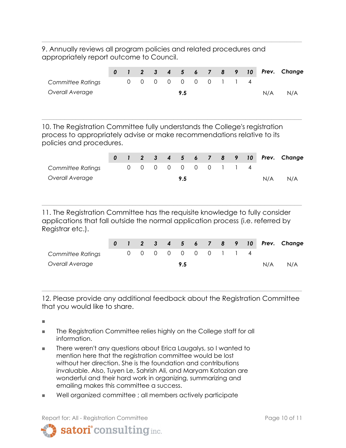9. Annually reviews all program policies and related procedures and appropriately report outcome to Council.

|                   |  |  |                     |  |  |     | 0 1 2 3 4 5 6 7 8 9 10 Prev. Change |
|-------------------|--|--|---------------------|--|--|-----|-------------------------------------|
| Committee Ratings |  |  | 0 0 0 0 0 0 0 1 1 4 |  |  |     |                                     |
| Overall Average   |  |  | 9.5                 |  |  | N/A | N/A                                 |
|                   |  |  |                     |  |  |     |                                     |

**\_\_\_\_\_\_\_\_\_\_\_\_\_\_\_\_\_\_\_\_\_\_\_\_\_\_\_\_\_\_\_\_\_\_\_\_\_\_\_\_\_\_\_\_\_\_\_\_\_\_\_\_\_\_\_\_\_\_\_\_\_\_\_\_\_\_\_\_\_**

**\_\_\_\_\_\_\_\_\_\_\_\_\_\_\_\_\_\_\_\_\_\_\_\_\_\_\_\_\_\_\_\_\_\_\_\_\_\_\_\_\_\_\_\_\_\_\_\_\_\_\_\_\_\_\_\_\_\_\_\_\_\_\_\_\_\_\_\_\_**

10. The Registration Committee fully understands the College's registration process to appropriately advise or make recommendations relative to its policies and procedures.

|                   |  |  |                     |  |  |     | 0 1 2 3 4 5 6 7 8 9 10 Prev. Change |
|-------------------|--|--|---------------------|--|--|-----|-------------------------------------|
| Committee Ratings |  |  | 0 0 0 0 0 0 0 1 1 4 |  |  |     |                                     |
| Overall Average   |  |  | 9.5                 |  |  | N/A | N/A                                 |

11. The Registration Committee has the requisite knowledge to fully consider applications that fall outside the normal application process (i.e. referred by Registrar etc.).

**\_\_\_\_\_\_\_\_\_\_\_\_\_\_\_\_\_\_\_\_\_\_\_\_\_\_\_\_\_\_\_\_\_\_\_\_\_\_\_\_\_\_\_\_\_\_\_\_\_\_\_\_\_\_\_\_\_\_\_\_\_\_\_\_\_\_\_\_\_**

|                   |  |  |                     |  |  |     | 0 1 2 3 4 5 6 7 8 9 10 Prev. Change |
|-------------------|--|--|---------------------|--|--|-----|-------------------------------------|
| Committee Ratings |  |  | 0 0 0 0 0 0 0 1 1 4 |  |  |     |                                     |
| Overall Average   |  |  | 9.5                 |  |  | N/A | N/A                                 |

12. Please provide any additional feedback about the Registration Committee that you would like to share.

**\_\_\_\_\_\_\_\_\_\_\_\_\_\_\_\_\_\_\_\_\_\_\_\_\_\_\_\_\_\_\_\_\_\_\_\_\_\_\_\_\_\_\_\_\_\_\_\_\_\_\_\_\_\_\_\_\_\_\_\_\_\_\_\_\_\_\_\_\_**

**■**

- The Registration Committee relies highly on the College staff for all information.
- There weren't any questions about Erica Laugalys, so I wanted to mention here that the registration committee would be lost without her direction. She is the foundation and contributions invaluable. Also, Tuyen Le, Sahrish Ali, and Maryam Katozian are wonderful and their hard work in organizing, summarizing and emailing makes this committee a success.
- Well organized committee ; all members actively participate

Report for: All - Registration Committee **Page 10 of 11** and 10 of 11